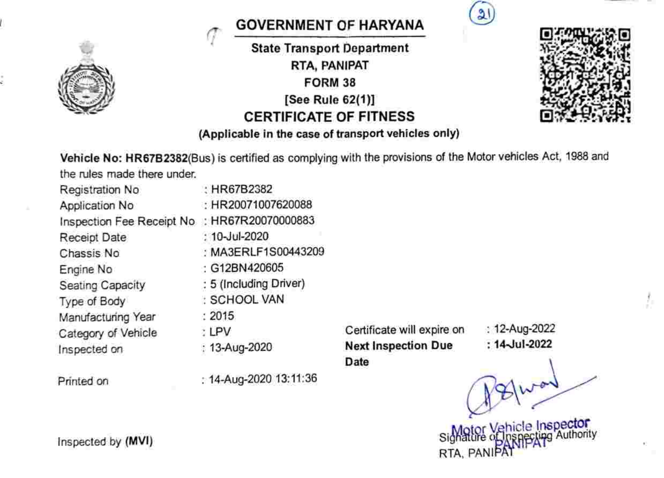

## GOVERNMENT QF HARYANA

State Transport Department RTA, PANIPAT FORM 38 See Rule 62(1)] CERTIFICATE OF FITNESS





Vehicle No: HR67B2382(Bus) is certified as complying with the provisions of the Motor vehicles Act, 1988 and the rules made there under.

| Registration No                              | : HR67B2382            |
|----------------------------------------------|------------------------|
| Application No                               | : HR20071007620088     |
| Inspection Fee Receipt No : HR67R20070000883 |                        |
| Receipt Date                                 | : 10-Jul-2020          |
| Chassis No                                   | : MA3ERLF1S00443209    |
| Engine No                                    | : G12BN420605          |
| Seating Capacity                             | : 5 (Including Driver) |
| Type of Body                                 | : SCHOOL VAN           |
| Manufacturing Year                           | : 2015                 |
| Category of Vehicle                          | : LPV                  |
| Inspected on                                 | : 13-Aug-2020          |

Printed on  $: 14$ -Aug-2020 13:11:36

Certificate will expire on : 12-Aug-2022<br>Next Inspection Due : 14-Jul-2022 Next Inspection Due Date

 $21$ 

Inspected by (MVI)<br>Signature of Inspector<br>RTA, PANIPAT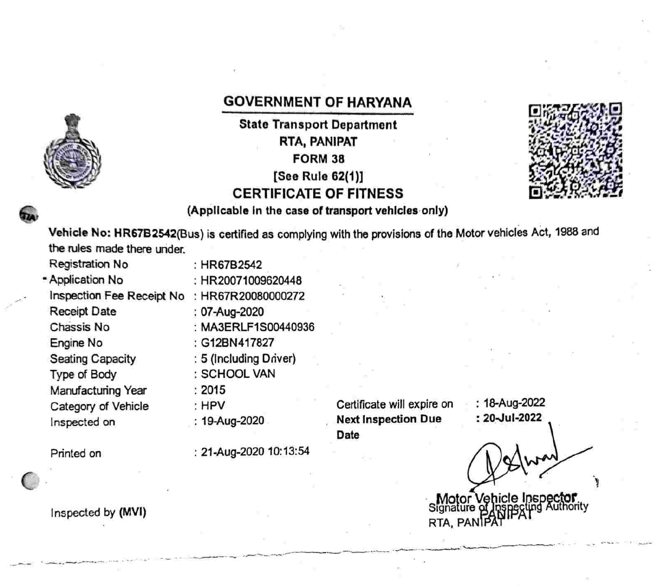## GOVERNMENT OF HARYANA

State Transport Department RTA, PANIPAT FORM 38 [See Rule 62(1)] CERTIFICATE OF FITNESS



A (Applicable in the case of transport vehicles only)

Vehicle No: HR67B2542(Bus) is certified as complying with the provisions of the Motor vehicles Act, 1988 and the rules made there under.

Registration No Application No Inspection Fee Receipt No : HR67R20080000272 Receipt Date Chassis No : MA3ERLF1S00440936 Engine No Seating Capacity Type of Body Manufacturing Year Category of Vehicle Inspected on

:07-Aug-2020 : G12BN417827 :5 (lncluding Driver) SCHOOL VAN 2015 : HPV

: HR20071009620448

: HR67B2542

:19-Aug-2020

Printed on :21-Aug-2020 10:13:54

Certificate will expire on **Next Inspection Due** Date

: 18-Aug-2022 :20-Jul-2022

Motor Vehicle Inspe

Inspected by (MVI) and the contract of the contract of the contract of the contract of the contract of the contract of the contract of the contract of the contract of the contract of the contract of the contract of the con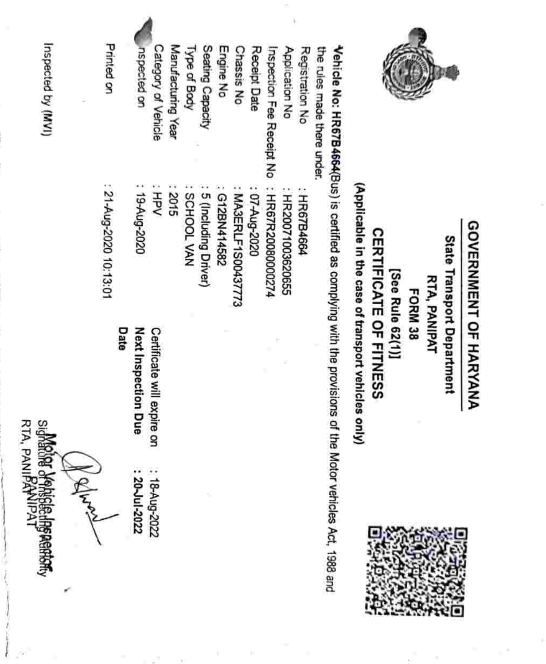| $\frac{1}{2}$     | Printed on                     | nspected on<br>Category of Vehicle                                               | Manufacturing Year<br>Type of Body | Seating Capacity     | Engine No   | Chassis No          | Receipt Date<br>Inspection Fee Receipt No | Application No     | Registration No | the rules made there under.                                                                                  |                                                                                                               |                                                              |
|-------------------|--------------------------------|----------------------------------------------------------------------------------|------------------------------------|----------------------|-------------|---------------------|-------------------------------------------|--------------------|-----------------|--------------------------------------------------------------------------------------------------------------|---------------------------------------------------------------------------------------------------------------|--------------------------------------------------------------|
|                   | : 21-Aug-2020 10:13:01<br>Date | : 19-Aug-2020<br>HPV<br>Next Inspection<br>Certificate will ex<br>Due<br>pire on | 2015<br>NW TOOHOS                  | 5 (Including Driver) | G12BN414582 | : MA3ERLF1S00437773 | : 07-Aug-2020<br>: HR67R20080000274       | : HR20071003620655 | : HR67B4664     | Vehicle No: HR67B4664(Bus) is certified as complying with the provisions of the Motor vehicles Act, 1988 and | (Applicable in the case of transport vehicles<br><b>CERTIFICATE OF FITNESS</b><br>[See Rule 62(1)]<br>i only) | atate<br>unustadan undeusu<br>RTA, PANIPAT<br><b>FORM 38</b> |
| Markar Vakiala is |                                | : 18-Aug-2022<br>20~In-2022                                                      |                                    |                      |             |                     |                                           |                    |                 |                                                                                                              |                                                                                                               |                                                              |

 $\bar{\gamma}$ 

a an

 $\bar{t}$ 

uzbected by (MVI) Inspected by (MVI)

Sighanne a Arisbering Readmy<br>RTA, PANIPANIPAT RTA, PANIFANIPAT

ļ

GOVERNMENT OF HARYANA GOVERNMENT OF HARYANA

×

State Transport Department State Transport Department



y.

ł

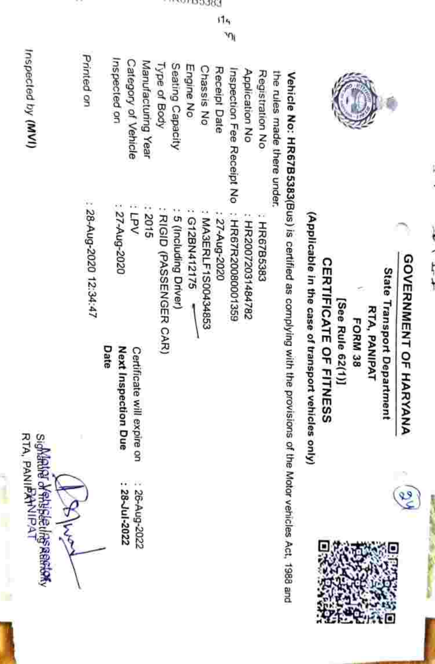| ١ |
|---|
|   |
| ì |
|   |
|   |
|   |
| ï |
| ٠ |
| ì |
|   |



89

State Transport Department State Transport Department RTA, PANIPAT RTA, PANIPAT

**FORM 38** FORM 38

**CERTIFICATE OF FITNESS** CERTIFICATE OF FITNESS [See Rule 62(1)] [See Rule 62(1)1

(Applicable in the case of transport vehicles only) (Applicable in the case of transport vehicles only)

the rules made there under, Vehicle No: HR67B5383(Bus) is certified as complying with the provisions of the Motor vehicles Act, 1988 and the rules made there under. Vehicle No: HR67B5383(Bus) is certified as complying with the provisions of the Motor vehicles Act, 1988 and

| Printed on           | Inspected on<br>Category of Vehicle<br>Manufacturing Year        | Type of Body<br>Seating Capacity<br>Engine No                          | Chassis No<br>Receipt Date<br>Inspection Fee Receipt No  | Application No<br>Registration No<br><b>CONTRACTOR ANTIQUES AND</b> |
|----------------------|------------------------------------------------------------------|------------------------------------------------------------------------|----------------------------------------------------------|---------------------------------------------------------------------|
| 28-Aug-2020 12:34:47 | : 27-Aug-2020<br>.<br>रि<br>2015                                 | : RIGID (PASSENGER CAR)<br>: 5 (Including Driver)<br>$: G12BN412175$ - | MA3ERLF1S00434853<br>: HR67R20080001359<br>: 27-Aug-2020 | HR20072031484782<br>: HR67B5383                                     |
|                      | Date<br><b>Next Inspection Due</b><br>Certificate will expire on |                                                                        |                                                          |                                                                     |
|                      | : 28-Jul-2022<br>26-Aug-2022                                     |                                                                        |                                                          |                                                                     |

Inspected by (MVI) RTA, PANIPATNIPAT Inspected by (MVI)





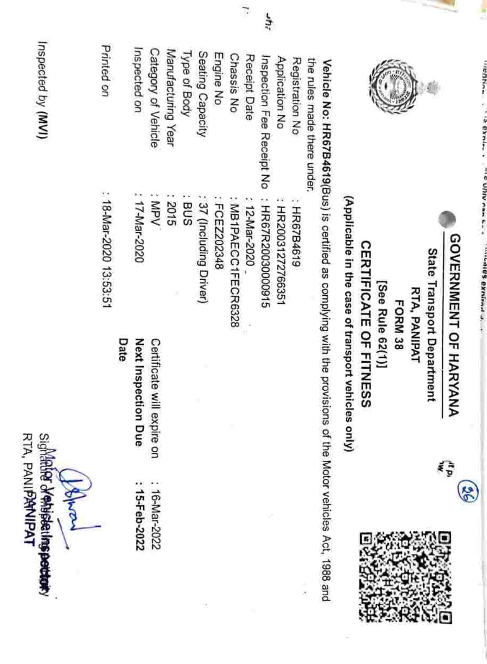| Inspected by (MVI)                                        | Printed on             | Inspected on                | Category of Vehicle        | Manufacturing Year | Type of Body | Seating Capacity        | Engine No    | Chassis No        | Receipt Date | ٤yr                       | Application No     | Registration No |                                                               |                                      |                               |                  |                |              |                            |                              |
|-----------------------------------------------------------|------------------------|-----------------------------|----------------------------|--------------------|--------------|-------------------------|--------------|-------------------|--------------|---------------------------|--------------------|-----------------|---------------------------------------------------------------|--------------------------------------|-------------------------------|------------------|----------------|--------------|----------------------------|------------------------------|
|                                                           |                        |                             |                            |                    |              |                         |              |                   |              | Inspection Fee Receipt No |                    |                 | the rules made there under.                                   |                                      |                               |                  |                |              |                            |                              |
|                                                           | : 18-Mar-2020 13:53:51 | : 17-Mar-2020               | MPV                        | 2015               | eus          | : 37 (Including Driver) | : FCEZ222348 | MB1PAECC1FECR6328 | 12-Mar-2020  | : HR67R20030000915        | : HR20031272766351 | : HR67B4619     | Vehicle No: HR67B4619(Bus) is certified as complying with the | (Applicable in the case of transport | <b>CERTIFICATE OF FITNESS</b> | [See Rule 62(1)] | <b>FORM 38</b> | RTA, PANIPAT | State Transport Department | <b>DOVERNMENI UF HARYANA</b> |
|                                                           |                        | Date<br>Next Inspection Due | Certificate will expire on |                    |              |                         |              |                   |              |                           |                    |                 |                                                               | vehicles only)                       |                               |                  |                |              |                            | វិទ្ធិ                       |
| Sighter of whisketing pettery<br>RTA, PANIPANIPAT<br>Jeho |                        | 15-Feb-2022                 | 16-Mar-2022                |                    |              |                         |              |                   |              |                           |                    |                 | provisions of the Motor vehicles Act, 1988 and<br>×           |                                      |                               |                  |                |              |                            |                              |

 $\overline{\phantom{a}}$ 

One of the collection of the collection of the collection of the collection of the collection of the collection of

 $\sim$  Office  $\sim$  and  $\sim$  . The state of  $\sim$  and  $\sim$  and  $\sim$  .

GOVERNMENT OF HARYANA

 $\circledS$ 

GOVERNMENT OF HARYANA

×

 $\rightarrow$ 

j

**CONTRACTOR**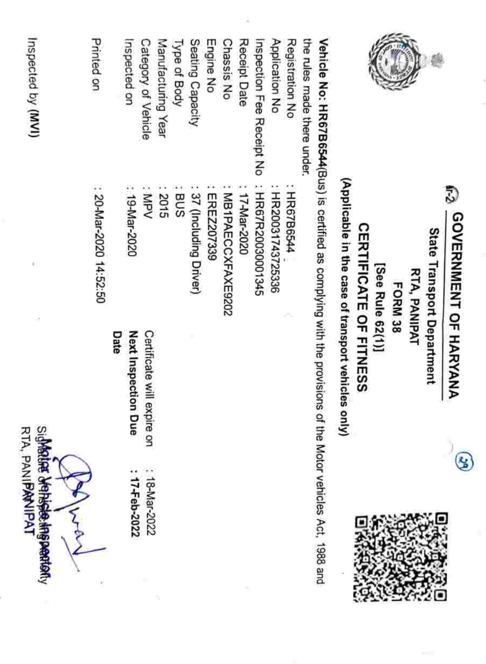| sighter dense the periodicy<br><b>RTA, PANIPANIPAT</b> |                            | r1                                                                                                           | Inspected by (MVI)          |
|--------------------------------------------------------|----------------------------|--------------------------------------------------------------------------------------------------------------|-----------------------------|
|                                                        |                            |                                                                                                              |                             |
|                                                        |                            | : 20-Mar-2020 14:52:50                                                                                       | <b>Printed</b> on           |
|                                                        | Date                       |                                                                                                              |                             |
| 17-Feb-2022                                            | Next Inspection Due        | : 19-Mar-2020                                                                                                | Inspected on                |
| 18-Mar-2022                                            | Certificate will expire on | : MPV                                                                                                        | Category of Vehicle         |
|                                                        |                            | 2015                                                                                                         | Manufacturing Year          |
|                                                        |                            | BUS                                                                                                          | Type of Body                |
|                                                        |                            | 37 (Including Driver)                                                                                        | Seating Capacity            |
|                                                        |                            | EREZ207339                                                                                                   | Engine No                   |
|                                                        |                            | MB1PAECCXFAXE9202                                                                                            | Chassis No                  |
|                                                        |                            | 17-Mar-2020                                                                                                  | Receipt Date                |
|                                                        |                            | : HR67R20030001345                                                                                           | Inspection Fee Receipt No   |
|                                                        |                            | : HR20031743725336                                                                                           | Application No              |
|                                                        |                            | : HR67B6544                                                                                                  | Registration No             |
|                                                        |                            |                                                                                                              | the rules made there under. |
|                                                        |                            | Vehicle No: HR67B6544(Bus) is certified as complying with the provisions of the Motor vehicles Act, 1988 and |                             |
|                                                        | les only)                  | (Applicable in the case of transport vehic                                                                   |                             |
|                                                        |                            | <b>CERTIFICATE OF FITNESS</b>                                                                                |                             |
|                                                        |                            | [See Rule 62(1)]                                                                                             |                             |
|                                                        |                            | FORM 38                                                                                                      |                             |
|                                                        |                            | <b>RTA, PANIPAT</b>                                                                                          |                             |
|                                                        |                            | State Transport Department                                                                                   |                             |
|                                                        | Ł                          | 75<br>GOVERNMENT OF HARYANA                                                                                  |                             |
|                                                        |                            |                                                                                                              |                             |

 $\odot$